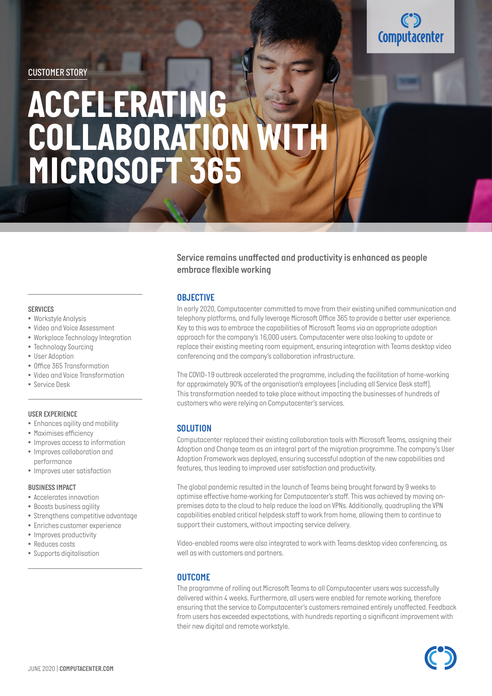

# *ACCELERATING COLLABORATION WITH MICROSOFT 365*

#### *Service remains unaffected and productivity is enhanced as people embrace flexible working*

#### *OBJECTIVE*

*In early 2020, Computacenter committed to move from their existing unified communication and telephony platforms, and fully leverage Microsoft Office 365 to provide a better user experience. Key to this was to embrace the capabilities of Microsoft Teams via an appropriate adoption approach for the company's 16,000 users. Computacenter were also looking to update or replace their existing meeting room equipment, ensuring integration with Teams desktop video conferencing and the company's collaboration infrastructure.* 

*The COVID-19 outbreak accelerated the programme, including the facilitation of home-working for approximately 90% of the organisation's employees (including all Service Desk staff).*  This transformation needed to take place without impacting the businesses of hundreds of *customers who were relying on Computacenter's services.* 

#### *SOLUTION*

*Computacenter replaced their existing collaboration tools with Microsoft Teams, assigning their Adoption and Change team as an integral part of the migration programme. The company's User Adoption Framework was deployed, ensuring successful adoption of the new capabilities and features, thus leading to improved user satisfaction and productivity.* 

*The global pandemic resulted in the launch of Teams being brought forward by 9 weeks to optimise effective home-working for Computacenter's staff. This was achieved by moving onpremises data to the cloud to help reduce the load on VPNs. Additionally, quadrupling the VPN capabilities enabled critical helpdesk staff to work from home, allowing them to continue to support their customers, without impacting service delivery.* 

*Video-enabled rooms were also integrated to work with Teams desktop video conferencing, as well as with customers and partners.* 

#### *OUTCOME*

*The programme of rolling out Microsoft Teams to all Computacenter users was successfully delivered within 4 weeks. Furthermore, all users were enabled for remote working, therefore ensuring that the service to Computacenter's customers remained entirely unaffected. Feedback from users has exceeded expectations, with hundreds reporting a significant improvement with their new digital and remote workstyle.* 

#### *SERVICES • Workstyle Analysis*

- *• Video and Voice Assessment*
- *• Workplace Technology Integration*
- *• Technology Sourcing*
- *• User Adoption*
- *• Office 365 Transformation*
- *• Video and Voice Transformation*
- *• Service Desk*

#### *USER EXPERIENCE*

- *• Enhances agility and mobility*
- *• Maximises efficiency*
- *• Improves access to information*
- *Improves collaboration and performance*
- *• Improves user satisfaction*

#### *BUSINESS IMPACT*

- *• Accelerates innovation*
- *• Boosts business agility*
- *• Strengthens competitive advantage*
- *• Enriches customer experience*
- *• Improves productivity*
- *• Reduces costs*
- *• Supports digitalisation*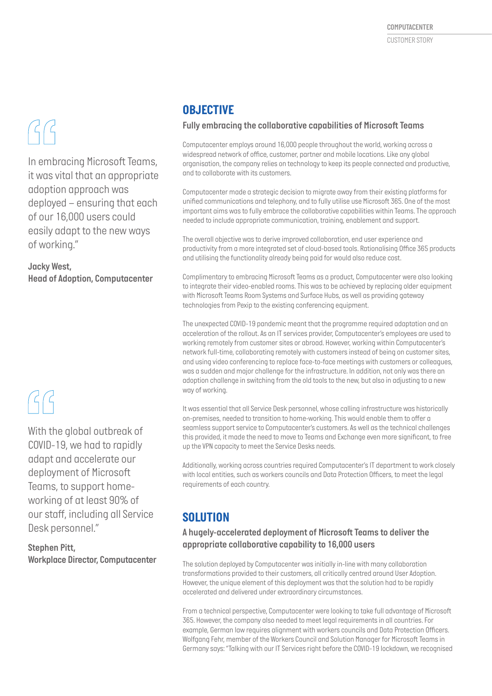# $\mathcal{C}$

*In embracing Microsoft Teams, it was vital that an appropriate adoption approach was deployed – ensuring that each of our 16,000 users could easily adapt to the new ways of working."*

*Jacky West, Head of Adoption, Computacenter*

## $GG$

*With the global outbreak of COVID-19, we had to rapidly adapt and accelerate our deployment of Microsoft Teams, to support homeworking of at least 90% of our staff, including all Service Desk personnel."*

*Stephen Pitt, Workplace Director, Computacenter*

### *OBJECTIVE*

#### *Fully embracing the collaborative capabilities of Microsoft Teams*

*Computacenter employs around 16,000 people throughout the world, working across a widespread network of office, customer, partner and mobile locations. Like any global organisation, the company relies on technology to keep its people connected and productive, and to collaborate with its customers.* 

*Computacenter made a strategic decision to migrate away from their existing platforms for unified communications and telephony, and to fully utilise use Microsoft 365. One of the most important aims was to fully embrace the collaborative capabilities within Teams. The approach needed to include appropriate communication, training, enablement and support.* 

*The overall objective was to derive improved collaboration, end user experience and productivity from a more integrated set of cloud-based tools. Rationalising Office 365 products and utilising the functionality already being paid for would also reduce cost.* 

*Complimentary to embracing Microsoft Teams as a product, Computacenter were also looking to integrate their video-enabled rooms. This was to be achieved by replacing older equipment with Microsoft Teams Room Systems and Surface Hubs, as well as providing gateway technologies from Pexip to the existing conferencing equipment.* 

*The unexpected COVID-19 pandemic meant that the programme required adaptation and an acceleration of the rollout. As an IT services provider, Computacenter's employees are used to working remotely from customer sites or abroad. However, working within Computacenter's network full-time, collaborating remotely with customers instead of being on customer sites, and using video conferencing to replace face-to-face meetings with customers or colleagues, was a sudden and major challenge for the infrastructure. In addition, not only was there an adoption challenge in switching from the old tools to the new, but also in adjusting to a new way of working.* 

*It was essential that all Service Desk personnel, whose calling infrastructure was historically on-premises, needed to transition to home-working. This would enable them to offer a seamless support service to Computacenter's customers. As well as the technical challenges this provided, it made the need to move to Teams and Exchange even more significant, to free up the VPN capacity to meet the Service Desks needs.* 

*Additionally, working across countries required Computacenter's IT department to work closely with local entities, such as workers councils and Data Protection Officers, to meet the legal requirements of each country.* 

### *SOLUTION*

#### *A hugely-accelerated deployment of Microsoft Teams to deliver the appropriate collaborative capability to 16,000 users*

*The solution deployed by Computacenter was initially in-line with many collaboration transformations provided to their customers, all critically centred around User Adoption. However, the unique element of this deployment was that the solution had to be rapidly accelerated and delivered under extraordinary circumstances.*

*From a technical perspective, Computacenter were looking to take full advantage of Microsoft 365. However, the company also needed to meet legal requirements in all countries. For example, German law requires alignment with workers councils and Data Protection Officers. Wolfgang Fehr, member of the Workers Council and Solution Manager for Microsoft Teams in Germany says: "Talking with our IT Services right before the COVID-19 lockdown, we recognised*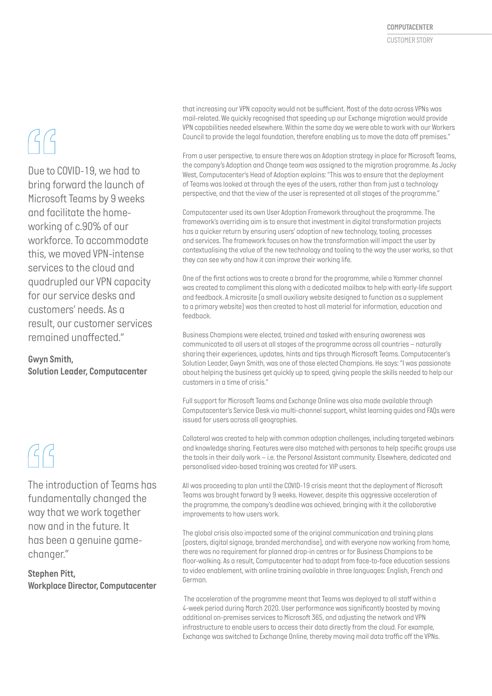# $GG$

*Due to COVID-19, we had to bring forward the launch of Microsoft Teams by 9 weeks and facilitate the homeworking of c.90% of our workforce. To accommodate this, we moved VPN-intense services to the cloud and quadrupled our VPN capacity for our service desks and customers' needs. As a result, our customer services remained unaffected."*

#### *Gwyn Smith, Solution Leader, Computacenter*

## $\mathcal{G}$

*The introduction of Teams has fundamentally changed the way that we work together now and in the future. It has been a genuine gamechanger."*

#### *Stephen Pitt, Workplace Director, Computacenter*

*that increasing our VPN capacity would not be sufficient. Most of the data across VPNs was mail-related. We quickly recognised that speeding up our Exchange migration would provide VPN capabilities needed elsewhere. Within the same day we were able to work with our Workers Council to provide the legal foundation, therefore enabling us to move the data off premises."* 

*From a user perspective, to ensure there was an Adoption strategy in place for Microsoft Teams, the company's Adoption and Change team was assigned to the migration programme. As Jacky West, Computacenter's Head of Adoption explains: "This was to ensure that the deployment of Teams was looked at through the eyes of the users, rather than from just a technology perspective, and that the view of the user is represented at all stages of the programme."* 

*Computacenter used its own User Adoption Framework throughout the programme. The framework's overriding aim is to ensure that investment in digital transformation projects has a quicker return by ensuring users' adoption of new technology, tooling, processes and services. The framework focuses on how the transformation will impact the user by contextualising the value of the new technology and tooling to the way the user works, so that they can see why and how it can improve their working life.* 

*One of the first actions was to create a brand for the programme, while a Yammer channel was created to compliment this along with a dedicated mailbox to help with early-life support and feedback. A microsite (a small auxiliary website designed to function as a supplement to a primary website) was then created to host all material for information, education and feedback.* 

*Business Champions were elected, trained and tasked with ensuring awareness was communicated to all users at all stages of the programme across all countries – naturally sharing their experiences, updates, hints and tips through Microsoft Teams. Computacenter's Solution Leader, Gwyn Smith, was one of those elected Champions. He says: "I was passionate about helping the business get quickly up to speed, giving people the skills needed to help our customers in a time of crisis."* 

*Full support for Microsoft Teams and Exchange Online was also made available through Computacenter's Service Desk via multi-channel support, whilst learning guides and FAQs were issued for users across all geographies.* 

*Collateral was created to help with common adoption challenges, including targeted webinars and knowledge sharing. Features were also matched with personas to help specific groups use the tools in their daily work – i.e. the Personal Assistant community. Elsewhere, dedicated and personalised video-based training was created for VIP users.* 

*All was proceeding to plan until the COVID-19 crisis meant that the deployment of Microsoft Teams was brought forward by 9 weeks. However, despite this aggressive acceleration of the programme, the company's deadline was achieved, bringing with it the collaborative improvements to how users work.* 

*The global crisis also impacted some of the original communication and training plans (posters, digital signage, branded merchandise), and with everyone now working from home, there was no requirement for planned drop-in centres or for Business Champions to be floor-walking. As a result, Computacenter had to adapt from face-to-face education sessions to video enablement, with online training available in three languages: English, French and German.* 

 *The acceleration of the programme meant that Teams was deployed to all staff within a 4-week period during March 2020. User performance was significantly boosted by moving additional on-premises services to Microsoft 365, and adjusting the network and VPN infrastructure to enable users to access their data directly from the cloud. For example, Exchange was switched to Exchange Online, thereby moving mail data traffic off the VPNs.*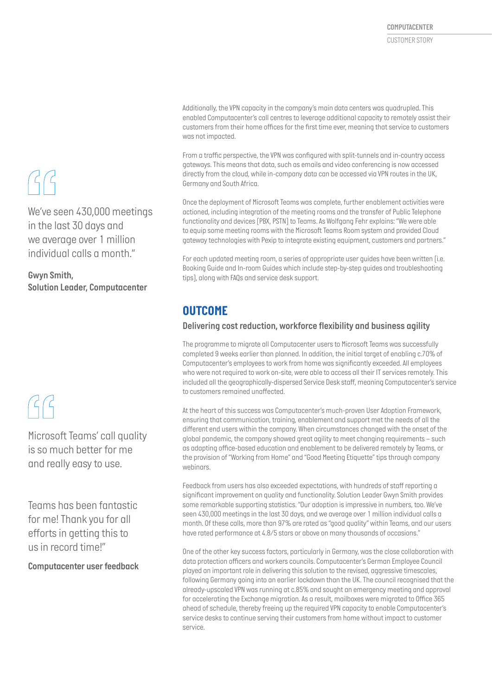*Additionally, the VPN capacity in the company's main data centers was quadrupled. This enabled Computacenter's call centres to leverage additional capacity to remotely assist their customers from their home offices for the first time ever, meaning that service to customers was not impacted.* 

*From a traffic perspective, the VPN was configured with split-tunnels and in-country access gateways. This means that data, such as emails and video conferencing is now accessed directly from the cloud, while in-company data can be accessed via VPN routes in the UK, Germany and South Africa.* 

*Once the deployment of Microsoft Teams was complete, further enablement activities were actioned, including integration of the meeting rooms and the transfer of Public Telephone functionality and devices (PBX, PSTN) to Teams. As Wolfgang Fehr explains: "We were able to equip some meeting rooms with the Microsoft Teams Room system and provided Cloud gateway technologies with Pexip to integrate existing equipment, customers and partners."* 

*For each updated meeting room, a series of appropriate user guides have been written (i.e. Booking Guide and In-room Guides which include step-by-step guides and troubleshooting tips), along with FAQs and service desk support.* 

### *OUTCOME*

#### *Delivering cost reduction, workforce flexibility and business agility*

*The programme to migrate all Computacenter users to Microsoft Teams was successfully completed 9 weeks earlier than planned. In addition, the initial target of enabling c.70% of Computacenter's employees to work from home was significantly exceeded. All employees who were not required to work on-site, were able to access all their IT services remotely. This included all the geographically-dispersed Service Desk staff, meaning Computacenter's service to customers remained unaffected.* 

*At the heart of this success was Computacenter's much-proven User Adoption Framework, ensuring that communication, training, enablement and support met the needs of all the different end users within the company. When circumstances changed with the onset of the global pandemic, the company showed great agility to meet changing requirements – such as adapting office-based education and enablement to be delivered remotely by Teams, or the provision of "Working from Home" and "Good Meeting Etiquette" tips through company webinars.* 

*Feedback from users has also exceeded expectations, with hundreds of staff reporting a significant improvement on quality and functionality. Solution Leader Gwyn Smith provides some remarkable supporting statistics. "Our adoption is impressive in numbers, too. We've seen 430,000 meetings in the last 30 days, and we average over 1 million individual calls a month. Of these calls, more than 97% are rated as "good quality" within Teams, and our users have rated performance at 4.8/5 stars or above on many thousands of occasions."* 

*One of the other key success factors, particularly in Germany, was the close collaboration with data protection officers and workers councils. Computacenter's German Employee Council played an important role in delivering this solution to the revised, aggressive timescales,*  following Germany going into an earlier lockdown than the UK. The council recognised that the *already-upscaled VPN was running at c.85% and sought an emergency meeting and approval for accelerating the Exchange migration. As a result, mailboxes were migrated to Office 365 ahead of schedule, thereby freeing up the required VPN capacity to enable Computacenter's service desks to continue serving their customers from home without impact to customer service.* 

# $G$

*We've seen 430,000 meetings in the last 30 days and we average over 1 million individual calls a month."*

*Gwyn Smith, Solution Leader, Computacenter*

# $GG$

*Microsoft Teams' call quality is so much better for me and really easy to use.*

*Teams has been fantastic for me! Thank you for all efforts in getting this to us in record time!"*

*Computacenter user feedback*